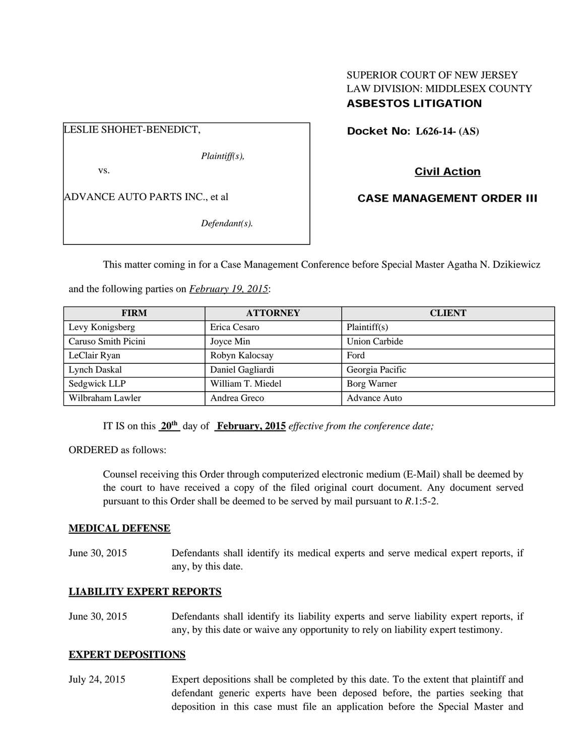# SUPERIOR COURT OF NEW JERSEY LAW DIVISION: MIDDLESEX COUNTY ASBESTOS LITIGATION

LESLIE SHOHET-BENEDICT,

*Plaintiff(s),* 

vs.

ADVANCE AUTO PARTS INC., et al

*Defendant(s).* 

Docket No: **L626-14- (AS)** 

Civil Action

CASE MANAGEMENT ORDER III

This matter coming in for a Case Management Conference before Special Master Agatha N. Dzikiewicz

and the following parties on *February 19, 2015*:

| <b>FIRM</b>         | <b>ATTORNEY</b>   | <b>CLIENT</b>        |
|---------------------|-------------------|----------------------|
| Levy Konigsberg     | Erica Cesaro      | Plaintiff(s)         |
| Caruso Smith Picini | Joyce Min         | <b>Union Carbide</b> |
| LeClair Ryan        | Robyn Kalocsay    | Ford                 |
| Lynch Daskal        | Daniel Gagliardi  | Georgia Pacific      |
| Sedgwick LLP        | William T. Miedel | Borg Warner          |
| Wilbraham Lawler    | Andrea Greco      | <b>Advance Auto</b>  |

IT IS on this **20th** day of **February, 2015** *effective from the conference date;*

ORDERED as follows:

Counsel receiving this Order through computerized electronic medium (E-Mail) shall be deemed by the court to have received a copy of the filed original court document. Any document served pursuant to this Order shall be deemed to be served by mail pursuant to *R*.1:5-2.

# **MEDICAL DEFENSE**

June 30, 2015 Defendants shall identify its medical experts and serve medical expert reports, if any, by this date.

# **LIABILITY EXPERT REPORTS**

June 30, 2015 Defendants shall identify its liability experts and serve liability expert reports, if any, by this date or waive any opportunity to rely on liability expert testimony.

# **EXPERT DEPOSITIONS**

July 24, 2015 Expert depositions shall be completed by this date. To the extent that plaintiff and defendant generic experts have been deposed before, the parties seeking that deposition in this case must file an application before the Special Master and